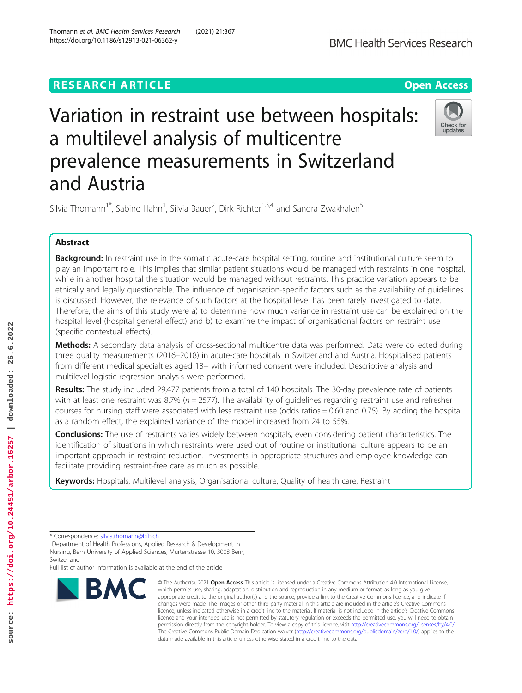https://doi.org/10.1186/s12913-021-06362-y

# **RESEARCH ARTICLE Example 2014 12:30 The Contract of Contract ACCESS**

# Variation in restraint use between hospitals: a multilevel analysis of multicentre prevalence measurements in Switzerland and Austria



Silvia Thomann<sup>1\*</sup>, Sabine Hahn<sup>1</sup>, Silvia Bauer<sup>2</sup>, Dirk Richter<sup>1,3,4</sup> and Sandra Zwakhalen<sup>5</sup>

# Abstract

Background: In restraint use in the somatic acute-care hospital setting, routine and institutional culture seem to play an important role. This implies that similar patient situations would be managed with restraints in one hospital, while in another hospital the situation would be managed without restraints. This practice variation appears to be ethically and legally questionable. The influence of organisation-specific factors such as the availability of guidelines is discussed. However, the relevance of such factors at the hospital level has been rarely investigated to date. Therefore, the aims of this study were a) to determine how much variance in restraint use can be explained on the hospital level (hospital general effect) and b) to examine the impact of organisational factors on restraint use (specific contextual effects).

Methods: A secondary data analysis of cross-sectional multicentre data was performed. Data were collected during three quality measurements (2016–2018) in acute-care hospitals in Switzerland and Austria. Hospitalised patients from different medical specialties aged 18+ with informed consent were included. Descriptive analysis and multilevel logistic regression analysis were performed.

Results: The study included 29,477 patients from a total of 140 hospitals. The 30-day prevalence rate of patients with at least one restraint was 8.7% ( $n = 2577$ ). The availability of guidelines regarding restraint use and refresher courses for nursing staff were associated with less restraint use (odds ratios = 0.60 and 0.75). By adding the hospital as a random effect, the explained variance of the model increased from 24 to 55%.

Conclusions: The use of restraints varies widely between hospitals, even considering patient characteristics. The identification of situations in which restraints were used out of routine or institutional culture appears to be an important approach in restraint reduction. Investments in appropriate structures and employee knowledge can facilitate providing restraint-free care as much as possible.

Keywords: Hospitals, Multilevel analysis, Organisational culture, Quality of health care, Restraint

Full list of author information is available at the end of the article



<sup>©</sup> The Author(s), 2021 **Open Access** This article is licensed under a Creative Commons Attribution 4.0 International License, which permits use, sharing, adaptation, distribution and reproduction in any medium or format, as long as you give appropriate credit to the original author(s) and the source, provide a link to the Creative Commons licence, and indicate if changes were made. The images or other third party material in this article are included in the article's Creative Commons licence, unless indicated otherwise in a credit line to the material. If material is not included in the article's Creative Commons licence and your intended use is not permitted by statutory regulation or exceeds the permitted use, you will need to obtain permission directly from the copyright holder. To view a copy of this licence, visit [http://creativecommons.org/licenses/by/4.0/.](http://creativecommons.org/licenses/by/4.0/) The Creative Commons Public Domain Dedication waiver [\(http://creativecommons.org/publicdomain/zero/1.0/](http://creativecommons.org/publicdomain/zero/1.0/)) applies to the data made available in this article, unless otherwise stated in a credit line to the data.

<sup>\*</sup> Correspondence: [silvia.thomann@bfh.ch](mailto:silvia.thomann@bfh.ch) <sup>1</sup>

<sup>&</sup>lt;sup>1</sup>Department of Health Professions, Applied Research & Development in Nursing, Bern University of Applied Sciences, Murtenstrasse 10, 3008 Bern, Switzerland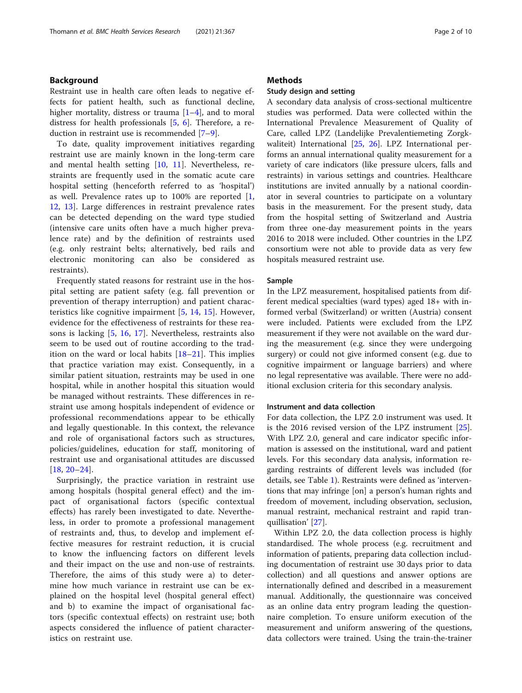# Background

Restraint use in health care often leads to negative effects for patient health, such as functional decline, higher mortality, distress or trauma  $[1-4]$ , and to moral distress for health professionals [5, 6]. Therefore, a reduction in restraint use is recommended [7–9].

To date, quality improvement initiatives regarding restraint use are mainly known in the long-term care and mental health setting [10, 11]. Nevertheless, restraints are frequently used in the somatic acute care hospital setting (henceforth referred to as 'hospital') as well. Prevalence rates up to  $100\%$  are reported  $\boxed{1}$ , 12, 13]. Large differences in restraint prevalence rates can be detected depending on the ward type studied (intensive care units often have a much higher prevalence rate) and by the definition of restraints used (e.g. only restraint belts; alternatively, bed rails and electronic monitoring can also be considered as restraints).

Frequently stated reasons for restraint use in the hospital setting are patient safety (e.g. fall prevention or prevention of therapy interruption) and patient characteristics like cognitive impairment [5, 14, 15]. However, evidence for the effectiveness of restraints for these reasons is lacking [5, 16, 17]. Nevertheless, restraints also seem to be used out of routine according to the tradition on the ward or local habits  $[18–21]$ . This implies that practice variation may exist. Consequently, in a similar patient situation, restraints may be used in one hospital, while in another hospital this situation would be managed without restraints. These differences in restraint use among hospitals independent of evidence or professional recommendations appear to be ethically and legally questionable. In this context, the relevance and role of organisational factors such as structures, policies/guidelines, education for staff, monitoring of restraint use and organisational attitudes are discussed [18, 20–24].

Surprisingly, the practice variation in restraint use among hospitals (hospital general effect) and the impact of organisational factors (specific contextual effects) has rarely been investigated to date. Nevertheless, in order to promote a professional management of restraints and, thus, to develop and implement effective measures for restraint reduction, it is crucial to know the influencing factors on different levels and their impact on the use and non-use of restraints. Therefore, the aims of this study were a) to determine how much variance in restraint use can be explained on the hospital level (hospital general effect) and b) to examine the impact of organisational factors (specific contextual effects) on restraint use; both aspects considered the influence of patient characteristics on restraint use.

# **Methods**

# Study design and setting

A secondary data analysis of cross-sectional multicentre studies was performed. Data were collected within the International Prevalence Measurement of Quality of Care, called LPZ (Landelijke Prevalentiemeting Zorgkwaliteit) International [25, 26]. LPZ International performs an annual international quality measurement for a variety of care indicators (like pressure ulcers, falls and restraints) in various settings and countries. Healthcare institutions are invited annually by a national coordinator in several countries to participate on a voluntary basis in the measurement. For the present study, data from the hospital setting of Switzerland and Austria from three one-day measurement points in the years 2016 to 2018 were included. Other countries in the LPZ consortium were not able to provide data as very few hospitals measured restraint use.

# Sample

In the LPZ measurement, hospitalised patients from different medical specialties (ward types) aged 18+ with informed verbal (Switzerland) or written (Austria) consent were included. Patients were excluded from the LPZ measurement if they were not available on the ward during the measurement (e.g. since they were undergoing surgery) or could not give informed consent (e.g. due to cognitive impairment or language barriers) and where no legal representative was available. There were no additional exclusion criteria for this secondary analysis.

# Instrument and data collection

For data collection, the LPZ 2.0 instrument was used. It is the 2016 revised version of the LPZ instrument [25]. With LPZ 2.0, general and care indicator specific information is assessed on the institutional, ward and patient levels. For this secondary data analysis, information regarding restraints of different levels was included (for details, see Table 1). Restraints were defined as 'interventions that may infringe [on] a person's human rights and freedom of movement, including observation, seclusion, manual restraint, mechanical restraint and rapid tranquillisation' [27].

Within LPZ 2.0, the data collection process is highly standardised. The whole process (e.g. recruitment and information of patients, preparing data collection including documentation of restraint use 30 days prior to data collection) and all questions and answer options are internationally defined and described in a measurement manual. Additionally, the questionnaire was conceived as an online data entry program leading the questionnaire completion. To ensure uniform execution of the measurement and uniform answering of the questions, data collectors were trained. Using the train-the-trainer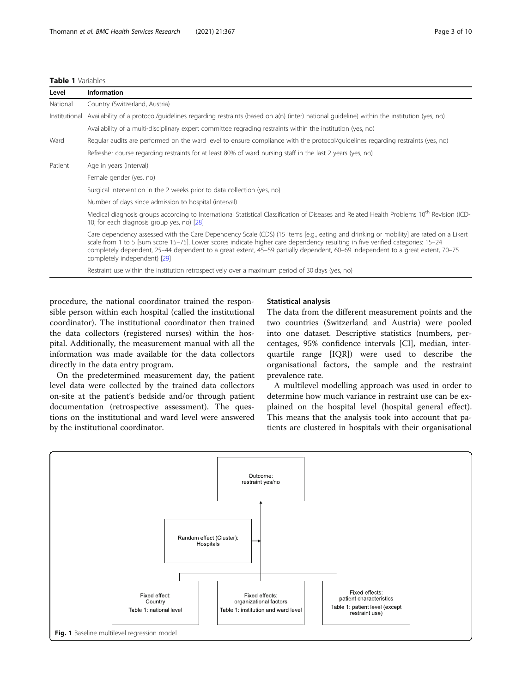# Table 1 Variables

| Level         | <b>Information</b>                                                                                                                                                                                                                                                                                                                                                                                                                        |  |  |  |  |
|---------------|-------------------------------------------------------------------------------------------------------------------------------------------------------------------------------------------------------------------------------------------------------------------------------------------------------------------------------------------------------------------------------------------------------------------------------------------|--|--|--|--|
| National      | Country (Switzerland, Austria)                                                                                                                                                                                                                                                                                                                                                                                                            |  |  |  |  |
| Institutional | Availability of a protocol/quidelines regarding restraints (based on a(n) (inter) national quideline) within the institution (yes, no)                                                                                                                                                                                                                                                                                                    |  |  |  |  |
|               | Availability of a multi-disciplinary expert committee regrading restraints within the institution (yes, no)                                                                                                                                                                                                                                                                                                                               |  |  |  |  |
| Ward          | Regular audits are performed on the ward level to ensure compliance with the protocol/guidelines regarding restraints (yes, no)                                                                                                                                                                                                                                                                                                           |  |  |  |  |
|               | Refresher course regarding restraints for at least 80% of ward nursing staff in the last 2 years (yes, no)                                                                                                                                                                                                                                                                                                                                |  |  |  |  |
| Patient       | Age in years (interval)                                                                                                                                                                                                                                                                                                                                                                                                                   |  |  |  |  |
|               | Female gender (yes, no)                                                                                                                                                                                                                                                                                                                                                                                                                   |  |  |  |  |
|               | Surgical intervention in the 2 weeks prior to data collection (yes, no)                                                                                                                                                                                                                                                                                                                                                                   |  |  |  |  |
|               | Number of days since admission to hospital (interval)                                                                                                                                                                                                                                                                                                                                                                                     |  |  |  |  |
|               | Medical diagnosis groups according to International Statistical Classification of Diseases and Related Health Problems 10 <sup>th</sup> Revision (ICD-<br>10; for each diagnosis group yes, no) [28]                                                                                                                                                                                                                                      |  |  |  |  |
|               | Care dependency assessed with the Care Dependency Scale (CDS) (15 items [e.g., eating and drinking or mobility] are rated on a Likert<br>scale from 1 to 5 [sum score 15-75]. Lower scores indicate higher care dependency resulting in five verified categories: 15-24<br>completely dependent, 25–44 dependent to a great extent, 45–59 partially dependent, 60–69 independent to a great extent, 70–75<br>completely independent) [29] |  |  |  |  |
|               | Restraint use within the institution retrospectively over a maximum period of 30 days (yes, no)                                                                                                                                                                                                                                                                                                                                           |  |  |  |  |

procedure, the national coordinator trained the responsible person within each hospital (called the institutional coordinator). The institutional coordinator then trained the data collectors (registered nurses) within the hospital. Additionally, the measurement manual with all the information was made available for the data collectors directly in the data entry program.

On the predetermined measurement day, the patient level data were collected by the trained data collectors on-site at the patient's bedside and/or through patient documentation (retrospective assessment). The questions on the institutional and ward level were answered by the institutional coordinator.

### Statistical analysis

The data from the different measurement points and the two countries (Switzerland and Austria) were pooled into one dataset. Descriptive statistics (numbers, percentages, 95% confidence intervals [CI], median, interquartile range [IQR]) were used to describe the organisational factors, the sample and the restraint prevalence rate.

A multilevel modelling approach was used in order to determine how much variance in restraint use can be explained on the hospital level (hospital general effect). This means that the analysis took into account that patients are clustered in hospitals with their organisational

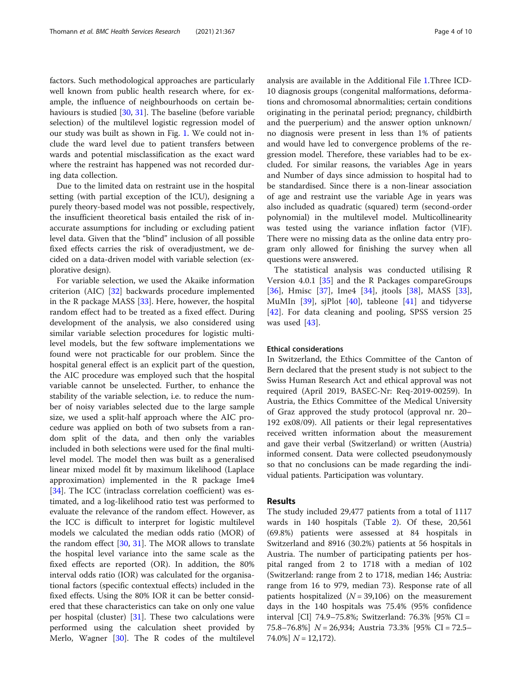factors. Such methodological approaches are particularly well known from public health research where, for example, the influence of neighbourhoods on certain behaviours is studied [30, 31]. The baseline (before variable selection) of the multilevel logistic regression model of our study was built as shown in Fig. 1. We could not include the ward level due to patient transfers between wards and potential misclassification as the exact ward where the restraint has happened was not recorded during data collection.

Due to the limited data on restraint use in the hospital setting (with partial exception of the ICU), designing a purely theory-based model was not possible, respectively, the insufficient theoretical basis entailed the risk of inaccurate assumptions for including or excluding patient level data. Given that the "blind" inclusion of all possible fixed effects carries the risk of overadjustment, we decided on a data-driven model with variable selection (explorative design).

For variable selection, we used the Akaike information criterion (AIC) [32] backwards procedure implemented in the R package MASS [33]. Here, however, the hospital random effect had to be treated as a fixed effect. During development of the analysis, we also considered using similar variable selection procedures for logistic multilevel models, but the few software implementations we found were not practicable for our problem. Since the hospital general effect is an explicit part of the question, the AIC procedure was employed such that the hospital variable cannot be unselected. Further, to enhance the stability of the variable selection, i.e. to reduce the number of noisy variables selected due to the large sample size, we used a split-half approach where the AIC procedure was applied on both of two subsets from a random split of the data, and then only the variables included in both selections were used for the final multilevel model. The model then was built as a generalised linear mixed model fit by maximum likelihood (Laplace approximation) implemented in the R package Ime4 [34]. The ICC (intraclass correlation coefficient) was estimated, and a log-likelihood ratio test was performed to evaluate the relevance of the random effect. However, as the ICC is difficult to interpret for logistic multilevel models we calculated the median odds ratio (MOR) of the random effect  $[30, 31]$ . The MOR allows to translate the hospital level variance into the same scale as the fixed effects are reported (OR). In addition, the 80% interval odds ratio (IOR) was calculated for the organisational factors (specific contextual effects) included in the fixed effects. Using the 80% IOR it can be better considered that these characteristics can take on only one value per hospital (cluster) [31]. These two calculations were performed using the calculation sheet provided by Merlo, Wagner [30]. The R codes of the multilevel analysis are available in the Additional File 1.Three ICD-10 diagnosis groups (congenital malformations, deformations and chromosomal abnormalities; certain conditions originating in the perinatal period; pregnancy, childbirth and the puerperium) and the answer option unknown/ no diagnosis were present in less than 1% of patients and would have led to convergence problems of the regression model. Therefore, these variables had to be excluded. For similar reasons, the variables Age in years and Number of days since admission to hospital had to be standardised. Since there is a non-linear association of age and restraint use the variable Age in years was also included as quadratic (squared) term (second-order polynomial) in the multilevel model. Multicollinearity was tested using the variance inflation factor (VIF). There were no missing data as the online data entry program only allowed for finishing the survey when all questions were answered.

The statistical analysis was conducted utilising R Version 4.0.1  $[35]$  and the R Packages compareGroups [36], Hmisc [37], Ime4 [34], jtools [38], MASS [33], MuMIn [39], sjPlot [40], tableone [41] and tidyverse [42]. For data cleaning and pooling, SPSS version 25 was used [43].

# Ethical considerations

In Switzerland, the Ethics Committee of the Canton of Bern declared that the present study is not subject to the Swiss Human Research Act and ethical approval was not required (April 2019, BASEC-Nr: Req-2019-00259). In Austria, the Ethics Committee of the Medical University of Graz approved the study protocol (approval nr. 20– 192 ex08/09). All patients or their legal representatives received written information about the measurement and gave their verbal (Switzerland) or written (Austria) informed consent. Data were collected pseudonymously so that no conclusions can be made regarding the individual patients. Participation was voluntary.

# Results

The study included 29,477 patients from a total of 1117 wards in 140 hospitals (Table 2). Of these, 20,561 (69.8%) patients were assessed at 84 hospitals in Switzerland and 8916 (30.2%) patients at 56 hospitals in Austria. The number of participating patients per hospital ranged from 2 to 1718 with a median of 102 (Switzerland: range from 2 to 1718, median 146; Austria: range from 16 to 979, median 73). Response rate of all patients hospitalized ( $N = 39,106$ ) on the measurement days in the 140 hospitals was 75.4% (95% confidence interval [CI] 74.9–75.8%; Switzerland: 76.3% [95% CI = 75.8–76.8%] N = 26,934; Austria 73.3% [95% CI = 72.5– 74.0%]  $N = 12,172$ .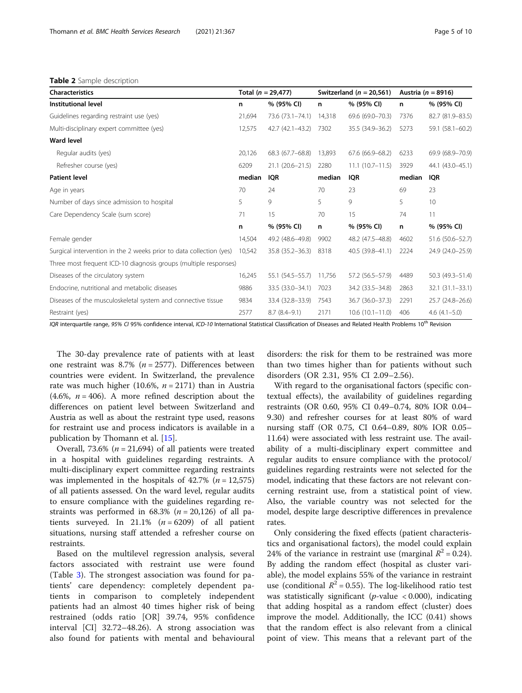#### Table 2 Sample description

| <b>Characteristics</b>                                              |        | Total $(n = 29,477)$ |        | Switzerland ( $n = 20,561$ ) |        | Austria ( $n = 8916$ ) |  |
|---------------------------------------------------------------------|--------|----------------------|--------|------------------------------|--------|------------------------|--|
| <b>Institutional level</b>                                          |        | % (95% CI)           | n      | % (95% CI)                   | n      | % (95% CI)             |  |
| Guidelines regarding restraint use (yes)                            | 21,694 | 73.6 (73.1-74.1)     | 14,318 | 69.6 (69.0-70.3)             | 7376   | 82.7 (81.9-83.5)       |  |
| Multi-disciplinary expert committee (yes)                           |        | 42.7 (42.1-43.2)     | 7302   | 35.5 (34.9 - 36.2)           | 5273   | 59.1 (58.1-60.2)       |  |
| <b>Ward level</b>                                                   |        |                      |        |                              |        |                        |  |
| Regular audits (yes)                                                | 20,126 | 68.3 (67.7-68.8)     | 13,893 | 67.6 (66.9-68.2)             | 6233   | 69.9 (68.9-70.9)       |  |
| Refresher course (yes)                                              | 6209   | $21.1(20.6 - 21.5)$  | 2280   | $11.1(10.7-11.5)$            | 3929   | 44.1 (43.0-45.1)       |  |
| <b>Patient level</b>                                                |        | <b>IOR</b>           | median | <b>IOR</b>                   | median | <b>IQR</b>             |  |
| Age in years                                                        | 70     | 24                   | 70     | 23                           | 69     | 23                     |  |
| Number of days since admission to hospital                          |        | 9                    | 5      | 9                            | 5      | 10                     |  |
| Care Dependency Scale (sum score)                                   |        | 15                   | 70     | 15                           | 74     | 11                     |  |
|                                                                     | n      | % (95% CI)           | n      | % (95% CI)                   | n      | % (95% CI)             |  |
| Female gender                                                       |        | 49.2 (48.6-49.8)     | 9902   | 48.2 (47.5-48.8)             | 4602   | 51.6 (50.6-52.7)       |  |
| Surgical intervention in the 2 weeks prior to data collection (yes) |        | $35.8(35.2 - 36.3)$  | 8318   | 40.5 (39.8-41.1)             | 2224   | 24.9 (24.0-25.9)       |  |
| Three most frequent ICD-10 diagnosis groups (multiple responses)    |        |                      |        |                              |        |                        |  |
| Diseases of the circulatory system                                  |        | 55.1 (54.5–55.7)     | 11,756 | 57.2 (56.5–57.9)             | 4489   | 50.3 (49.3-51.4)       |  |
| Endocrine, nutritional and metabolic diseases                       |        | 33.5 (33.0-34.1)     | 7023   | 34.2 (33.5 - 34.8)           | 2863   | 32.1 (31.1-33.1)       |  |
| Diseases of the musculoskeletal system and connective tissue        |        | 33.4 (32.8-33.9)     | 7543   | 36.7 (36.0-37.3)             | 2291   | 25.7 (24.8-26.6)       |  |
| Restraint (yes)                                                     |        | $8.7(8.4-9.1)$       | 2171   | $10.6(10.1-11.0)$            | 406    | $4.6(4.1-5.0)$         |  |

IQR interquartile range, 95% CI 95% confidence interval, ICD-10 International Statistical Classification of Diseases and Related Health Problems 10<sup>th</sup> Revision

The 30-day prevalence rate of patients with at least one restraint was 8.7% ( $n = 2577$ ). Differences between countries were evident. In Switzerland, the prevalence rate was much higher (10.6%,  $n = 2171$ ) than in Austria (4.6%,  $n = 406$ ). A more refined description about the differences on patient level between Switzerland and Austria as well as about the restraint type used, reasons for restraint use and process indicators is available in a publication by Thomann et al. [15].

Overall, 73.6% ( $n = 21,694$ ) of all patients were treated in a hospital with guidelines regarding restraints. A multi-disciplinary expert committee regarding restraints was implemented in the hospitals of  $42.7\%$  ( $n = 12,575$ ) of all patients assessed. On the ward level, regular audits to ensure compliance with the guidelines regarding restraints was performed in 68.3% ( $n = 20,126$ ) of all patients surveyed. In 21.1%  $(n = 6209)$  of all patient situations, nursing staff attended a refresher course on restraints.

Based on the multilevel regression analysis, several factors associated with restraint use were found (Table 3). The strongest association was found for patients' care dependency: completely dependent patients in comparison to completely independent patients had an almost 40 times higher risk of being restrained (odds ratio [OR] 39.74, 95% confidence interval [CI] 32.72–48.26). A strong association was also found for patients with mental and behavioural disorders: the risk for them to be restrained was more than two times higher than for patients without such disorders (OR 2.31, 95% CI 2.09–2.56).

With regard to the organisational factors (specific contextual effects), the availability of guidelines regarding restraints (OR 0.60, 95% CI 0.49–0.74, 80% IOR 0.04– 9.30) and refresher courses for at least 80% of ward nursing staff (OR 0.75, CI 0.64–0.89, 80% IOR 0.05– 11.64) were associated with less restraint use. The availability of a multi-disciplinary expert committee and regular audits to ensure compliance with the protocol/ guidelines regarding restraints were not selected for the model, indicating that these factors are not relevant concerning restraint use, from a statistical point of view. Also, the variable country was not selected for the model, despite large descriptive differences in prevalence rates.

Only considering the fixed effects (patient characteristics and organisational factors), the model could explain 24% of the variance in restraint use (marginal  $R^2 = 0.24$ ). By adding the random effect (hospital as cluster variable), the model explains 55% of the variance in restraint use (conditional  $R^2 = 0.55$ ). The log-likelihood ratio test was statistically significant ( $p$ -value < 0.000), indicating that adding hospital as a random effect (cluster) does improve the model. Additionally, the ICC (0.41) shows that the random effect is also relevant from a clinical point of view. This means that a relevant part of the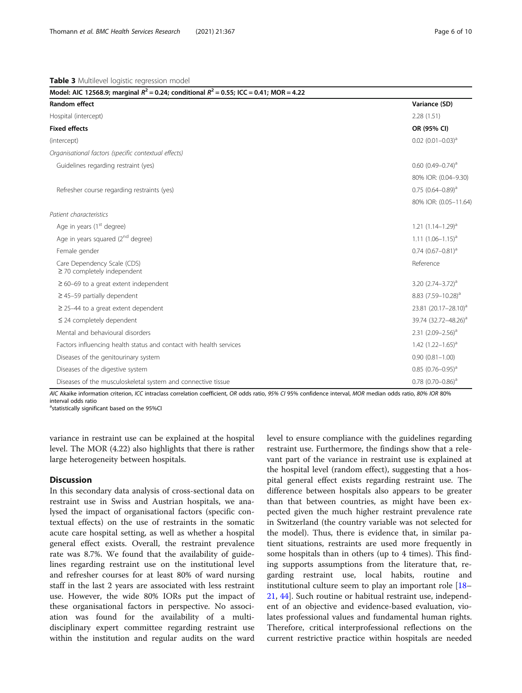Table 3 Multilevel logistic regression model

| Model: AIC 12568.9; marginal $R^2 = 0.24$ ; conditional $R^2 = 0.55$ ; ICC = 0.41; MOR = 4.22 |                                  |  |  |  |  |
|-----------------------------------------------------------------------------------------------|----------------------------------|--|--|--|--|
| <b>Random effect</b>                                                                          | Variance (SD)                    |  |  |  |  |
| Hospital (intercept)                                                                          | 2.28(1.51)                       |  |  |  |  |
| <b>Fixed effects</b>                                                                          | OR (95% CI)                      |  |  |  |  |
| (intercept)                                                                                   | $0.02$ $(0.01 - 0.03)^{a}$       |  |  |  |  |
| Organisational factors (specific contextual effects)                                          |                                  |  |  |  |  |
| Guidelines regarding restraint (yes)                                                          | $0.60$ $(0.49 - 0.74)^a$         |  |  |  |  |
|                                                                                               | 80% IOR: (0.04-9.30)             |  |  |  |  |
| Refresher course regarding restraints (yes)                                                   | $0.75(0.64 - 0.89)^a$            |  |  |  |  |
|                                                                                               | 80% IOR: (0.05-11.64)            |  |  |  |  |
| Patient characteristics                                                                       |                                  |  |  |  |  |
| Age in years (1 <sup>st</sup> degree)                                                         | $1.21 (1.14 - 1.29)^a$           |  |  |  |  |
| Age in years squared (2 <sup>nd</sup> degree)                                                 | $1.11 (1.06 - 1.15)^a$           |  |  |  |  |
| Female gender                                                                                 | $0.74$ $(0.67 - 0.81)^a$         |  |  |  |  |
| Care Dependency Scale (CDS)<br>$\geq$ 70 completely independent                               | Reference                        |  |  |  |  |
| $\geq$ 60–69 to a great extent independent                                                    | 3.20 $(2.74 - 3.72)^a$           |  |  |  |  |
| $\geq$ 45-59 partially dependent                                                              | 8.83 (7.59-10.28) <sup>a</sup>   |  |  |  |  |
| $\geq$ 25-44 to a great extent dependent                                                      | 23.81 (20.17-28.10) <sup>a</sup> |  |  |  |  |
| $\leq$ 24 completely dependent                                                                | 39.74 (32.72-48.26) <sup>a</sup> |  |  |  |  |
| Mental and behavioural disorders                                                              | 2.31 $(2.09 - 2.56)^a$           |  |  |  |  |
| Factors influencing health status and contact with health services                            | 1.42 $(1.22 - 1.65)^a$           |  |  |  |  |
| Diseases of the genitourinary system                                                          | $0.90(0.81 - 1.00)$              |  |  |  |  |
| Diseases of the digestive system                                                              | $0.85(0.76-0.95)^a$              |  |  |  |  |
| Diseases of the musculoskeletal system and connective tissue                                  | $0.78$ $(0.70 - 0.86)^a$         |  |  |  |  |

AIC Akaike information criterion, ICC intraclass correlation coefficient, OR odds ratio, 95% CI 95% confidence interval, MOR median odds ratio, 80% IOR 80% interval odds ratio

<sup>a</sup>statistically significant based on the 95%Cl

variance in restraint use can be explained at the hospital level. The MOR (4.22) also highlights that there is rather large heterogeneity between hospitals.

# **Discussion**

In this secondary data analysis of cross-sectional data on restraint use in Swiss and Austrian hospitals, we analysed the impact of organisational factors (specific contextual effects) on the use of restraints in the somatic acute care hospital setting, as well as whether a hospital general effect exists. Overall, the restraint prevalence rate was 8.7%. We found that the availability of guidelines regarding restraint use on the institutional level and refresher courses for at least 80% of ward nursing staff in the last 2 years are associated with less restraint use. However, the wide 80% IORs put the impact of these organisational factors in perspective. No association was found for the availability of a multidisciplinary expert committee regarding restraint use within the institution and regular audits on the ward

level to ensure compliance with the guidelines regarding restraint use. Furthermore, the findings show that a relevant part of the variance in restraint use is explained at the hospital level (random effect), suggesting that a hospital general effect exists regarding restraint use. The difference between hospitals also appears to be greater than that between countries, as might have been expected given the much higher restraint prevalence rate in Switzerland (the country variable was not selected for the model). Thus, there is evidence that, in similar patient situations, restraints are used more frequently in some hospitals than in others (up to 4 times). This finding supports assumptions from the literature that, regarding restraint use, local habits, routine and institutional culture seem to play an important role [18– 21, 44]. Such routine or habitual restraint use, independent of an objective and evidence-based evaluation, violates professional values and fundamental human rights. Therefore, critical interprofessional reflections on the current restrictive practice within hospitals are needed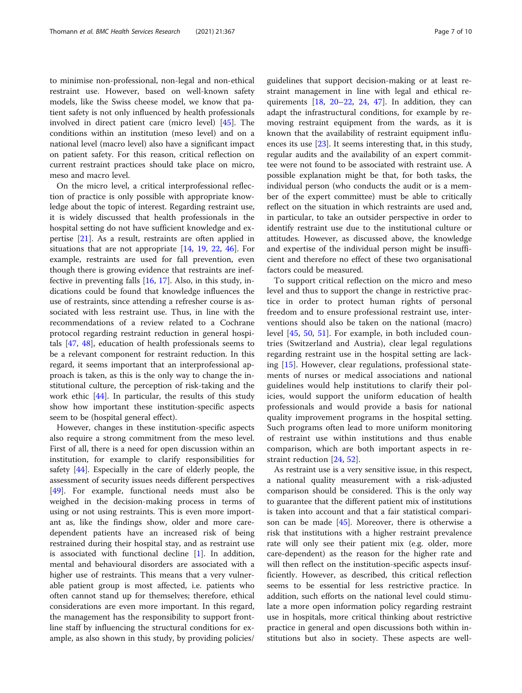to minimise non-professional, non-legal and non-ethical restraint use. However, based on well-known safety models, like the Swiss cheese model, we know that patient safety is not only influenced by health professionals involved in direct patient care (micro level) [45]. The conditions within an institution (meso level) and on a national level (macro level) also have a significant impact on patient safety. For this reason, critical reflection on current restraint practices should take place on micro, meso and macro level.

On the micro level, a critical interprofessional reflection of practice is only possible with appropriate knowledge about the topic of interest. Regarding restraint use, it is widely discussed that health professionals in the hospital setting do not have sufficient knowledge and expertise [21]. As a result, restraints are often applied in situations that are not appropriate [14, 19, 22, 46]. For example, restraints are used for fall prevention, even though there is growing evidence that restraints are ineffective in preventing falls [16, 17]. Also, in this study, indications could be found that knowledge influences the use of restraints, since attending a refresher course is associated with less restraint use. Thus, in line with the recommendations of a review related to a Cochrane protocol regarding restraint reduction in general hospitals [47, 48], education of health professionals seems to be a relevant component for restraint reduction. In this regard, it seems important that an interprofessional approach is taken, as this is the only way to change the institutional culture, the perception of risk-taking and the work ethic [44]. In particular, the results of this study show how important these institution-specific aspects seem to be (hospital general effect).

However, changes in these institution-specific aspects also require a strong commitment from the meso level. First of all, there is a need for open discussion within an institution, for example to clarify responsibilities for safety [44]. Especially in the care of elderly people, the assessment of security issues needs different perspectives [49]. For example, functional needs must also be weighed in the decision-making process in terms of using or not using restraints. This is even more important as, like the findings show, older and more caredependent patients have an increased risk of being restrained during their hospital stay, and as restraint use is associated with functional decline [1]. In addition, mental and behavioural disorders are associated with a higher use of restraints. This means that a very vulnerable patient group is most affected, i.e. patients who often cannot stand up for themselves; therefore, ethical considerations are even more important. In this regard, the management has the responsibility to support frontline staff by influencing the structural conditions for example, as also shown in this study, by providing policies/ guidelines that support decision-making or at least restraint management in line with legal and ethical requirements  $[18, 20-22, 24, 47]$ . In addition, they can adapt the infrastructural conditions, for example by removing restraint equipment from the wards, as it is known that the availability of restraint equipment influences its use  $[23]$ . It seems interesting that, in this study, regular audits and the availability of an expert committee were not found to be associated with restraint use. A possible explanation might be that, for both tasks, the individual person (who conducts the audit or is a member of the expert committee) must be able to critically reflect on the situation in which restraints are used and, in particular, to take an outsider perspective in order to identify restraint use due to the institutional culture or attitudes. However, as discussed above, the knowledge and expertise of the individual person might be insufficient and therefore no effect of these two organisational factors could be measured.

To support critical reflection on the micro and meso level and thus to support the change in restrictive practice in order to protect human rights of personal freedom and to ensure professional restraint use, interventions should also be taken on the national (macro) level [45, 50, 51]. For example, in both included countries (Switzerland and Austria), clear legal regulations regarding restraint use in the hospital setting are lacking [15]. However, clear regulations, professional statements of nurses or medical associations and national guidelines would help institutions to clarify their policies, would support the uniform education of health professionals and would provide a basis for national quality improvement programs in the hospital setting. Such programs often lead to more uniform monitoring of restraint use within institutions and thus enable comparison, which are both important aspects in restraint reduction [24, 52].

As restraint use is a very sensitive issue, in this respect, a national quality measurement with a risk-adjusted comparison should be considered. This is the only way to guarantee that the different patient mix of institutions is taken into account and that a fair statistical comparison can be made  $[45]$ . Moreover, there is otherwise a risk that institutions with a higher restraint prevalence rate will only see their patient mix (e.g. older, more care-dependent) as the reason for the higher rate and will then reflect on the institution-specific aspects insufficiently. However, as described, this critical reflection seems to be essential for less restrictive practice. In addition, such efforts on the national level could stimulate a more open information policy regarding restraint use in hospitals, more critical thinking about restrictive practice in general and open discussions both within institutions but also in society. These aspects are well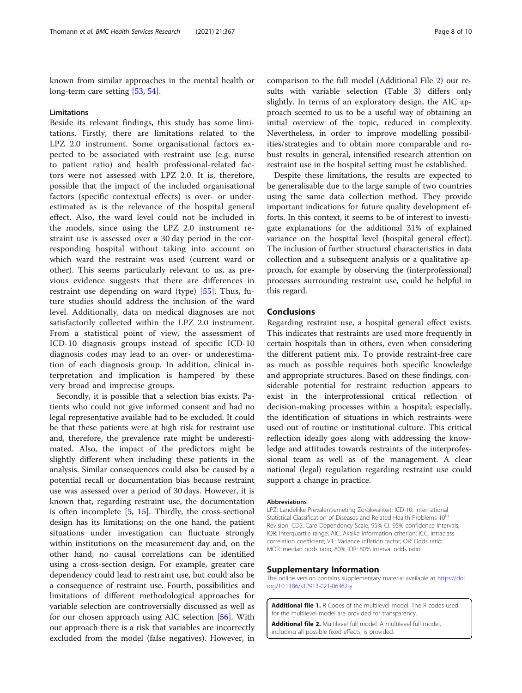known from similar approaches in the mental health or long-term care setting [53, 54].

#### **Limitations**

Beside its relevant findings, this study has some limitations. Firstly, there are limitations related to the LPZ 2.0 instrument. Some organisational factors expected to be associated with restraint use (e.g. nurse to patient ratio) and health professional-related factors were not assessed with LPZ 2.0. It is, therefore, possible that the impact of the included organisational factors (specific contextual effects) is over- or underestimated as is the relevance of the hospital general effect. Also, the ward level could not be included in the models, since using the LPZ 2.0 instrument restraint use is assessed over a 30 day period in the corresponding hospital without taking into account on which ward the restraint was used (current ward or other). This seems particularly relevant to us, as previous evidence suggests that there are differences in restraint use depending on ward (type) [55]. Thus, future studies should address the inclusion of the ward level. Additionally, data on medical diagnoses are not satisfactorily collected within the LPZ 2.0 instrument. From a statistical point of view, the assessment of ICD-10 diagnosis groups instead of specific ICD-10 diagnosis codes may lead to an over- or underestimation of each diagnosis group. In addition, clinical interpretation and implication is hampered by these very broad and imprecise groups.

Secondly, it is possible that a selection bias exists. Patients who could not give informed consent and had no legal representative available had to be excluded. It could be that these patients were at high risk for restraint use and, therefore, the prevalence rate might be underestimated. Also, the impact of the predictors might be slightly different when including these patients in the analysis. Similar consequences could also be caused by a potential recall or documentation bias because restraint use was assessed over a period of 30 days. However, it is known that, regarding restraint use, the documentation is often incomplete [5, 15]. Thirdly, the cross-sectional design has its limitations; on the one hand, the patient situations under investigation can fluctuate strongly within institutions on the measurement day and, on the other hand, no causal correlations can be identified using a cross-section design. For example, greater care dependency could lead to restraint use, but could also be a consequence of restraint use. Fourth, possibilities and limitations of different methodological approaches for variable selection are controversially discussed as well as for our chosen approach using AIC selection [56]. With our approach there is a risk that variables are incorrectly excluded from the model (false negatives). However, in

comparison to the full model (Additional File 2) our results with variable selection (Table 3) differs only slightly. In terms of an exploratory design, the AIC approach seemed to us to be a useful way of obtaining an initial overview of the topic, reduced in complexity. Nevertheless, in order to improve modelling possibilities/strategies and to obtain more comparable and robust results in general, intensified research attention on restraint use in the hospital setting must be established.

Despite these limitations, the results are expected to be generalisable due to the large sample of two countries using the same data collection method. They provide important indications for future quality development efforts. In this context, it seems to be of interest to investigate explanations for the additional 31% of explained variance on the hospital level (hospital general effect). The inclusion of further structural characteristics in data collection and a subsequent analysis or a qualitative approach, for example by observing the (interprofessional) processes surrounding restraint use, could be helpful in this regard.

### **Conclusions**

Regarding restraint use, a hospital general effect exists. This indicates that restraints are used more frequently in certain hospitals than in others, even when considering the different patient mix. To provide restraint-free care as much as possible requires both specific knowledge and appropriate structures. Based on these findings, considerable potential for restraint reduction appears to exist in the interprofessional critical reflection of decision-making processes within a hospital; especially, the identification of situations in which restraints were used out of routine or institutional culture. This critical reflection ideally goes along with addressing the knowledge and attitudes towards restraints of the interprofessional team as well as of the management. A clear national (legal) regulation regarding restraint use could support a change in practice.

#### Abbreviations

LPZ: Landelijke Prevalentiemeting Zorgkwaliteit; ICD-10: International Statistical Classification of Diseases and Related Health Problems 10<sup>t</sup> Revision; CDS: Care Dependency Scale; 95% CI: 95% confidence intervals; IQR: Interquartile range; AIC: Akaike information criterion; ICC: Intraclass correlation coefficient; VIF: Variance inflation factor; OR: Odds ratio; MOR: median odds ratio; 80% IOR: 80% interval odds ratio

#### Supplementary Information

The online version contains supplementary material available at [https://doi.](https://doi.org/10.1186/s12913-021-06362-y) [org/10.1186/s12913-021-06362-y](https://doi.org/10.1186/s12913-021-06362-y) .

Additional file 1. R Codes of the multilevel model. The R codes used for the multilevel model are provided for transparency

Additional file 2. Multilevel full model. A multilevel full model, including all possible fixed effects, is provided.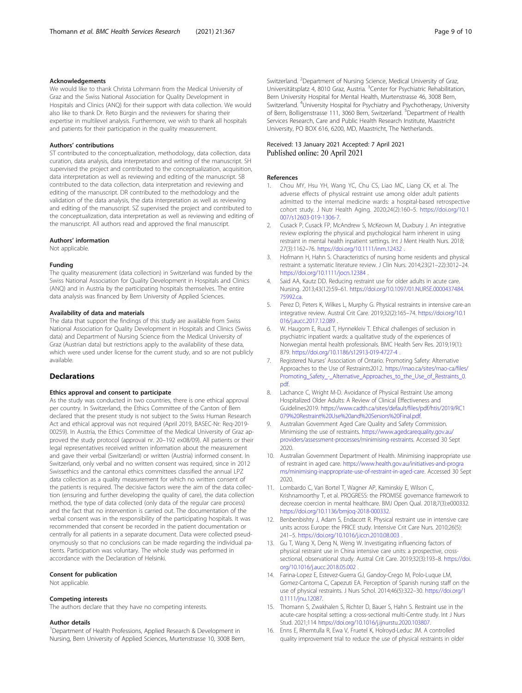#### Acknowledgements

We would like to thank Christa Lohrmann from the Medical University of Graz and the Swiss National Association for Quality Development in Hospitals and Clinics (ANQ) for their support with data collection. We would also like to thank Dr. Reto Bürgin and the reviewers for sharing their expertise in multilevel analysis. Furthermore, we wish to thank all hospitals and patients for their participation in the quality measurement.

#### Authors' contributions

ST contributed to the conceptualization, methodology, data collection, data curation, data analysis, data interpretation and writing of the manuscript. SH supervised the project and contributed to the conceptualization, acquisition, data interpretation as well as reviewing and editing of the manuscript. SB contributed to the data collection, data interpretation and reviewing and editing of the manuscript. DR contributed to the methodology and the validation of the data analysis, the data interpretation as well as reviewing and editing of the manuscript. SZ supervised the project and contributed to the conceptualization, data interpretation as well as reviewing and editing of the manuscript. All authors read and approved the final manuscript.

# Authors' information

Not applicable.

#### Funding

The quality measurement (data collection) in Switzerland was funded by the Swiss National Association for Quality Development in Hospitals and Clinics (ANQ) and in Austria by the participating hospitals themselves. The entire data analysis was financed by Bern University of Applied Sciences.

#### Availability of data and materials

The data that support the findings of this study are available from Swiss National Association for Quality Development in Hospitals and Clinics (Swiss data) and Department of Nursing Science from the Medical University of Graz (Austrian data) but restrictions apply to the availability of these data, which were used under license for the current study, and so are not publicly available.

# Declarations

#### Ethics approval and consent to participate

As the study was conducted in two countries, there is one ethical approval per country. In Switzerland, the Ethics Committee of the Canton of Bern declared that the present study is not subject to the Swiss Human Research Act and ethical approval was not required (April 2019, BASEC-Nr: Req-2019- 00259). In Austria, the Ethics Committee of the Medical University of Graz approved the study protocol (approval nr. 20–192 ex08/09). All patients or their legal representatives received written information about the measurement and gave their verbal (Switzerland) or written (Austria) informed consent. In Switzerland, only verbal and no written consent was required, since in 2012 Swissethics and the cantonal ethics committees classified the annual LPZ data collection as a quality measurement for which no written consent of the patients is required. The decisive factors were the aim of the data collection (ensuring and further developing the quality of care), the data collection method, the type of data collected (only data of the regular care process) and the fact that no intervention is carried out. The documentation of the verbal consent was in the responsibility of the participating hospitals. It was recommended that consent be recorded in the patient documentation or centrally for all patients in a separate document. Data were collected pseudonymously so that no conclusions can be made regarding the individual patients. Participation was voluntary. The whole study was performed in accordance with the Declaration of Helsinki.

#### Consent for publication

Not applicable.

#### Competing interests

The authors declare that they have no competing interests.

#### Author details

<sup>1</sup>Department of Health Professions, Applied Research & Development in Nursing, Bern University of Applied Sciences, Murtenstrasse 10, 3008 Bern,

Switzerland. <sup>2</sup>Department of Nursing Science, Medical University of Graz, Universitätsplatz 4, 8010 Graz, Austria. <sup>3</sup> Center for Psychiatric Rehabilitation, Bern University Hospital for Mental Health, Murtenstrasse 46, 3008 Bern, Switzerland. <sup>4</sup>University Hospital for Psychiatry and Psychotherapy, University of Bern, Bolligenstrasse 111, 3060 Bern, Switzerland. <sup>5</sup>Department of Health Services Research, Care and Public Health Research Institute, Maastricht University, PO BOX 616, 6200, MD, Maastricht, The Netherlands.

#### Received: 13 January 2021 Accepted: 7 April 2021 Published online: 20 April 2021

#### References

- 1. Chou MY, Hsu YH, Wang YC, Chu CS, Liao MC, Liang CK, et al. The adverse effects of physical restraint use among older adult patients admitted to the internal medicine wards: a hospital-based retrospective cohort study. J Nutr Health Aging. 2020;24(2):160–5. [https://doi.org/10.1](https://doi.org/10.1007/s12603-019-1306-7) [007/s12603-019-1306-7](https://doi.org/10.1007/s12603-019-1306-7).
- 2. Cusack P, Cusack FP, McAndrew S, McKeown M, Duxbury J. An integrative review exploring the physical and psychological harm inherent in using restraint in mental health inpatient settings. Int J Ment Health Nurs. 2018; 27(3):1162–76. <https://doi.org/10.1111/inm.12432> .
- 3. Hofmann H, Hahn S. Characteristics of nursing home residents and physical restraint: a systematic literature review. J Clin Nurs. 2014;23(21–22):3012–24. <https://doi.org/10.1111/jocn.12384> .
- Said AA, Kautz DD. Reducing restraint use for older adults in acute care. Nursing. 2013;43(12):59–61. [https://doi.org/10.1097/01.NURSE.0000437484.](https://doi.org/10.1097/01.NURSE.0000437484.75992.ca) [75992.ca](https://doi.org/10.1097/01.NURSE.0000437484.75992.ca).
- 5. Perez D, Peters K, Wilkes L, Murphy G. Physical restraints in intensive care-an integrative review. Austral Crit Care. 2019;32(2):165–74. [https://doi.org/10.1](https://doi.org/10.1016/j.aucc.2017.12.089) [016/j.aucc.2017.12.089](https://doi.org/10.1016/j.aucc.2017.12.089)
- 6. W. Haugom E, Ruud T, Hynnekleiv T. Ethical challenges of seclusion in psychiatric inpatient wards: a qualitative study of the experiences of Norwegian mental health professionals. BMC Health Serv Res. 2019;19(1): 879. <https://doi.org/10.1186/s12913-019-4727-4> .
- 7. Registered Nurses' Association of Ontario. Promoting Safety: Alternative Approaches to the Use of Restraints2012. [https://rnao.ca/sites/rnao-ca/files/](https://rnao.ca/sites/rnao-ca/files/Promoting_Safety_-_Alternative_Approaches_to_the_Use_of_Restraints_0.pdf) [Promoting\\_Safety\\_-\\_Alternative\\_Approaches\\_to\\_the\\_Use\\_of\\_Restraints\\_0.](https://rnao.ca/sites/rnao-ca/files/Promoting_Safety_-_Alternative_Approaches_to_the_Use_of_Restraints_0.pdf) [pdf](https://rnao.ca/sites/rnao-ca/files/Promoting_Safety_-_Alternative_Approaches_to_the_Use_of_Restraints_0.pdf).
- Lachance C, Wright M-D. Avoidance of Physical Restraint Use among Hospitalized Older Adults: A Review of Clinical Effectiveness and Guidelines2019. [https://www.cadth.ca/sites/default/files/pdf/htis/2019/RC1](https://www.cadth.ca/sites/default/files/pdf/htis/2019/RC1079%20Restraint%20Use%20and%20Seniors%20Final.pdf) [079%20Restraint%20Use%20and%20Seniors%20Final.pdf](https://www.cadth.ca/sites/default/files/pdf/htis/2019/RC1079%20Restraint%20Use%20and%20Seniors%20Final.pdf).
- Australian Government Aged Care Quality and Safety Commission. Minimising the use of restraints. [https://www.agedcarequality.gov.au/](https://www.agedcarequality.gov.au/providers/assessment-processes/minimising-restraints) [providers/assessment-processes/minimising-restraints.](https://www.agedcarequality.gov.au/providers/assessment-processes/minimising-restraints) Accessed 30 Sept 2020.
- 10. Australian Government Department of Health. Minimising inappropriate use of restraint in aged care. [https://www.health.gov.au/initiatives-and-progra](https://www.health.gov.au/initiatives-and-programs/minimising-inappropriate-use-of-restraint-in-aged-care) [ms/minimising-inappropriate-use-of-restraint-in-aged-care](https://www.health.gov.au/initiatives-and-programs/minimising-inappropriate-use-of-restraint-in-aged-care). Accessed 30 Sept 2020.
- 11. Lombardo C, Van Bortel T, Wagner AP, Kaminskiy E, Wilson C, Krishnamoorthy T, et al. PROGRESS: the PROMISE governance framework to decrease coercion in mental healthcare. BMJ Open Qual. 2018;7(3):e000332. [https://doi.org/10.1136/bmjoq-2018-000332.](https://doi.org/10.1136/bmjoq-2018-000332)
- 12. Benbenbishty J, Adam S, Endacott R. Physical restraint use in intensive care units across Europe: the PRICE study. Intensive Crit Care Nurs. 2010;26(5): 241–5. <https://doi.org/10.1016/j.iccn.2010.08.003> .
- 13. Gu T, Wang X, Deng N, Weng W. Investigating influencing factors of physical restraint use in China intensive care units: a prospective, crosssectional, observational study. Austral Crit Care. 2019;32(3):193–8. [https://doi.](https://doi.org/10.1016/j.aucc.2018.05.002) [org/10.1016/j.aucc.2018.05.002](https://doi.org/10.1016/j.aucc.2018.05.002) .
- 14. Farina-Lopez E, Estevez-Guerra GJ, Gandoy-Crego M, Polo-Luque LM, Gomez-Cantorna C, Capezuti EA. Perception of Spanish nursing staff on the use of physical restraints. J Nurs Schol. 2014;46(5):322–30. [https://doi.org/1](https://doi.org/10.1111/jnu.12087) 0.1111/inu.12087.
- 15. Thomann S, Zwakhalen S, Richter D, Bauer S, Hahn S. Restraint use in the acute-care hospital setting: a cross-sectional multi-Centre study. Int J Nurs Stud. 2021;114 [https://doi.org/10.1016/j.ijnurstu.2020.103807.](https://doi.org/10.1016/j.ijnurstu.2020.103807)
- 16. Enns E, Rhemtulla R, Ewa V, Fruetel K, Holroyd-Leduc JM. A controlled quality improvement trial to reduce the use of physical restraints in older